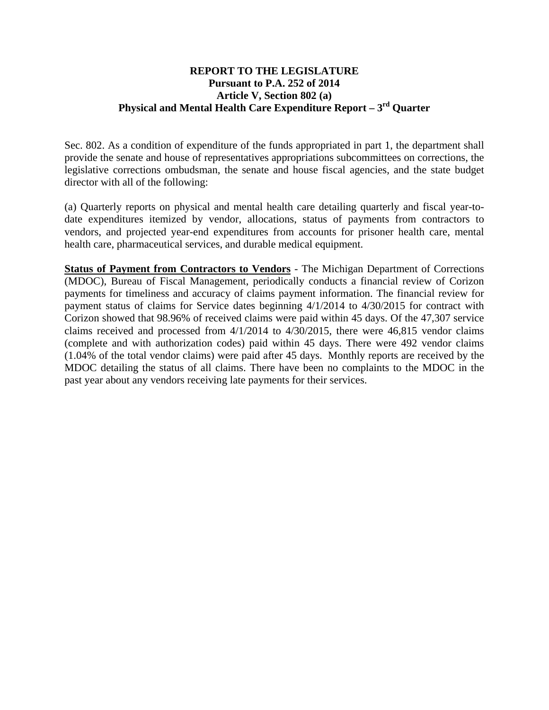## **REPORT TO THE LEGISLATURE Pursuant to P.A. 252 of 2014 Article V, Section 802 (a) Physical and Mental Health Care Expenditure Report – 3rd Quarter**

Sec. 802. As a condition of expenditure of the funds appropriated in part 1, the department shall provide the senate and house of representatives appropriations subcommittees on corrections, the legislative corrections ombudsman, the senate and house fiscal agencies, and the state budget director with all of the following:

(a) Quarterly reports on physical and mental health care detailing quarterly and fiscal year-todate expenditures itemized by vendor, allocations, status of payments from contractors to vendors, and projected year-end expenditures from accounts for prisoner health care, mental health care, pharmaceutical services, and durable medical equipment.

**Status of Payment from Contractors to Vendors** - The Michigan Department of Corrections (MDOC), Bureau of Fiscal Management, periodically conducts a financial review of Corizon payments for timeliness and accuracy of claims payment information. The financial review for payment status of claims for Service dates beginning 4/1/2014 to 4/30/2015 for contract with Corizon showed that 98.96% of received claims were paid within 45 days. Of the 47,307 service claims received and processed from 4/1/2014 to 4/30/2015, there were 46,815 vendor claims (complete and with authorization codes) paid within 45 days. There were 492 vendor claims (1.04% of the total vendor claims) were paid after 45 days. Monthly reports are received by the MDOC detailing the status of all claims. There have been no complaints to the MDOC in the past year about any vendors receiving late payments for their services.